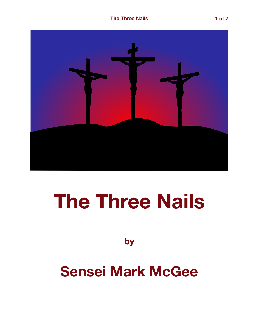

## **The Three Nails**

**by**

## **Sensei Mark McGee**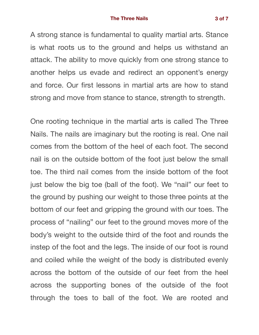## **The Three Nails 3 of 7**

A strong stance is fundamental to quality martial arts. Stance is what roots us to the ground and helps us withstand an attack. The ability to move quickly from one strong stance to another helps us evade and redirect an opponent's energy and force. Our first lessons in martial arts are how to stand strong and move from stance to stance, strength to strength.

One rooting technique in the martial arts is called The Three Nails. The nails are imaginary but the rooting is real. One nail comes from the bottom of the heel of each foot. The second nail is on the outside bottom of the foot just below the small toe. The third nail comes from the inside bottom of the foot just below the big toe (ball of the foot). We "nail" our feet to the ground by pushing our weight to those three points at the bottom of our feet and gripping the ground with our toes. The process of "nailing" our feet to the ground moves more of the body's weight to the outside third of the foot and rounds the instep of the foot and the legs. The inside of our foot is round and coiled while the weight of the body is distributed evenly across the bottom of the outside of our feet from the heel across the supporting bones of the outside of the foot through the toes to ball of the foot. We are rooted and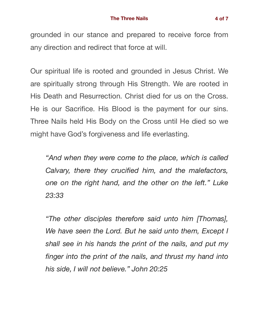grounded in our stance and prepared to receive force from any direction and redirect that force at will.

Our spiritual life is rooted and grounded in Jesus Christ. We are spiritually strong through His Strength. We are rooted in His Death and Resurrection. Christ died for us on the Cross. He is our Sacrifice. His Blood is the payment for our sins. Three Nails held His Body on the Cross until He died so we might have God's forgiveness and life everlasting.

*"And when they were come to the place, which is called Calvary, there they crucified him, and the malefactors, one on the right hand, and the other on the left." Luke 23:33* 

*"The other disciples therefore said unto him [Thomas], We have seen the Lord. But he said unto them, Except I shall see in his hands the print of the nails, and put my finger into the print of the nails, and thrust my hand into his side, I will not believe." John 20:25*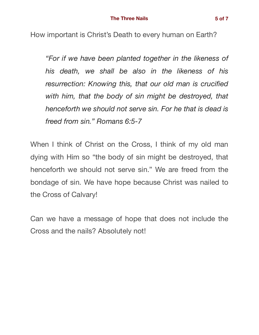How important is Christ's Death to every human on Earth?

*"For if we have been planted together in the likeness of his death, we shall be also in the likeness of his resurrection: Knowing this, that our old man is crucified with him, that the body of sin might be destroyed, that henceforth we should not serve sin. For he that is dead is freed from sin." Romans 6:5-7* 

When I think of Christ on the Cross, I think of my old man dying with Him so "the body of sin might be destroyed, that henceforth we should not serve sin." We are freed from the bondage of sin. We have hope because Christ was nailed to the Cross of Calvary!

Can we have a message of hope that does not include the Cross and the nails? Absolutely not!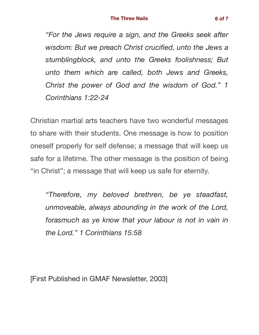*"For the Jews require a sign, and the Greeks seek after wisdom: But we preach Christ crucified, unto the Jews a stumblingblock, and unto the Greeks foolishness; But unto them which are called, both Jews and Greeks, Christ the power of God and the wisdom of God." 1 Corinthians 1:22-24* 

Christian martial arts teachers have two wonderful messages to share with their students. One message is how to position oneself properly for self defense; a message that will keep us safe for a lifetime. The other message is the position of being "in Christ"; a message that will keep us safe for eternity.

*"Therefore, my beloved brethren, be ye steadfast, unmoveable, always abounding in the work of the Lord, forasmuch as ye know that your labour is not in vain in the Lord." 1 Corinthians 15:58* 

[First Published in GMAF Newsletter, 2003]